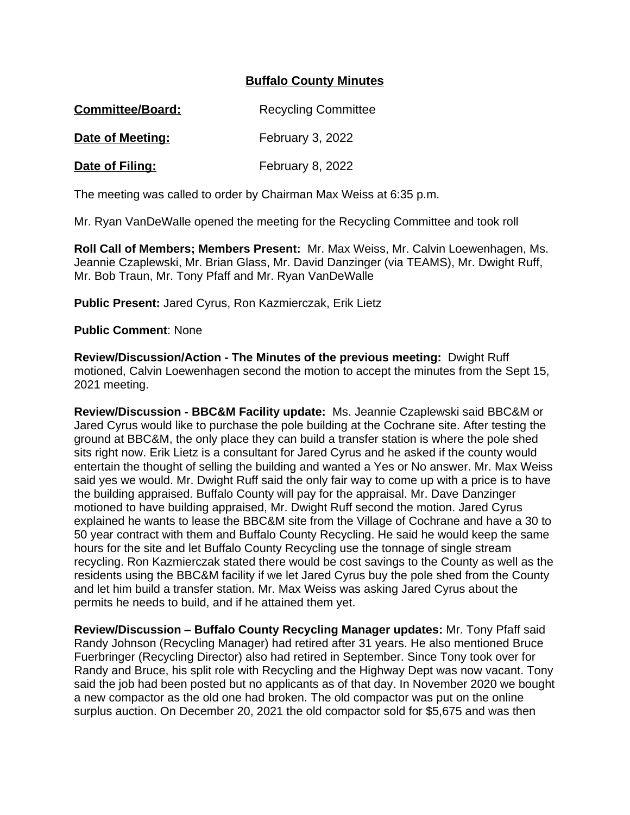## **Buffalo County Minutes**

| <b>Committee/Board:</b> | <b>Recycling Committee</b> |
|-------------------------|----------------------------|
| Date of Meeting:        | <b>February 3, 2022</b>    |

**Date of Filing:** February 8, 2022

The meeting was called to order by Chairman Max Weiss at 6:35 p.m.

Mr. Ryan VanDeWalle opened the meeting for the Recycling Committee and took roll

**Roll Call of Members; Members Present:** Mr. Max Weiss, Mr. Calvin Loewenhagen, Ms. Jeannie Czaplewski, Mr. Brian Glass, Mr. David Danzinger (via TEAMS), Mr. Dwight Ruff, Mr. Bob Traun, Mr. Tony Pfaff and Mr. Ryan VanDeWalle

**Public Present:** Jared Cyrus, Ron Kazmierczak, Erik Lietz

**Public Comment**: None

**Review/Discussion/Action - The Minutes of the previous meeting:** Dwight Ruff motioned, Calvin Loewenhagen second the motion to accept the minutes from the Sept 15, 2021 meeting.

**Review/Discussion - BBC&M Facility update:** Ms. Jeannie Czaplewski said BBC&M or Jared Cyrus would like to purchase the pole building at the Cochrane site. After testing the ground at BBC&M, the only place they can build a transfer station is where the pole shed sits right now. Erik Lietz is a consultant for Jared Cyrus and he asked if the county would entertain the thought of selling the building and wanted a Yes or No answer. Mr. Max Weiss said yes we would. Mr. Dwight Ruff said the only fair way to come up with a price is to have the building appraised. Buffalo County will pay for the appraisal. Mr. Dave Danzinger motioned to have building appraised, Mr. Dwight Ruff second the motion. Jared Cyrus explained he wants to lease the BBC&M site from the Village of Cochrane and have a 30 to 50 year contract with them and Buffalo County Recycling. He said he would keep the same hours for the site and let Buffalo County Recycling use the tonnage of single stream recycling. Ron Kazmierczak stated there would be cost savings to the County as well as the residents using the BBC&M facility if we let Jared Cyrus buy the pole shed from the County and let him build a transfer station. Mr. Max Weiss was asking Jared Cyrus about the permits he needs to build, and if he attained them yet.

**Review/Discussion – Buffalo County Recycling Manager updates:** Mr. Tony Pfaff said Randy Johnson (Recycling Manager) had retired after 31 years. He also mentioned Bruce Fuerbringer (Recycling Director) also had retired in September. Since Tony took over for Randy and Bruce, his split role with Recycling and the Highway Dept was now vacant. Tony said the job had been posted but no applicants as of that day. In November 2020 we bought a new compactor as the old one had broken. The old compactor was put on the online surplus auction. On December 20, 2021 the old compactor sold for \$5,675 and was then